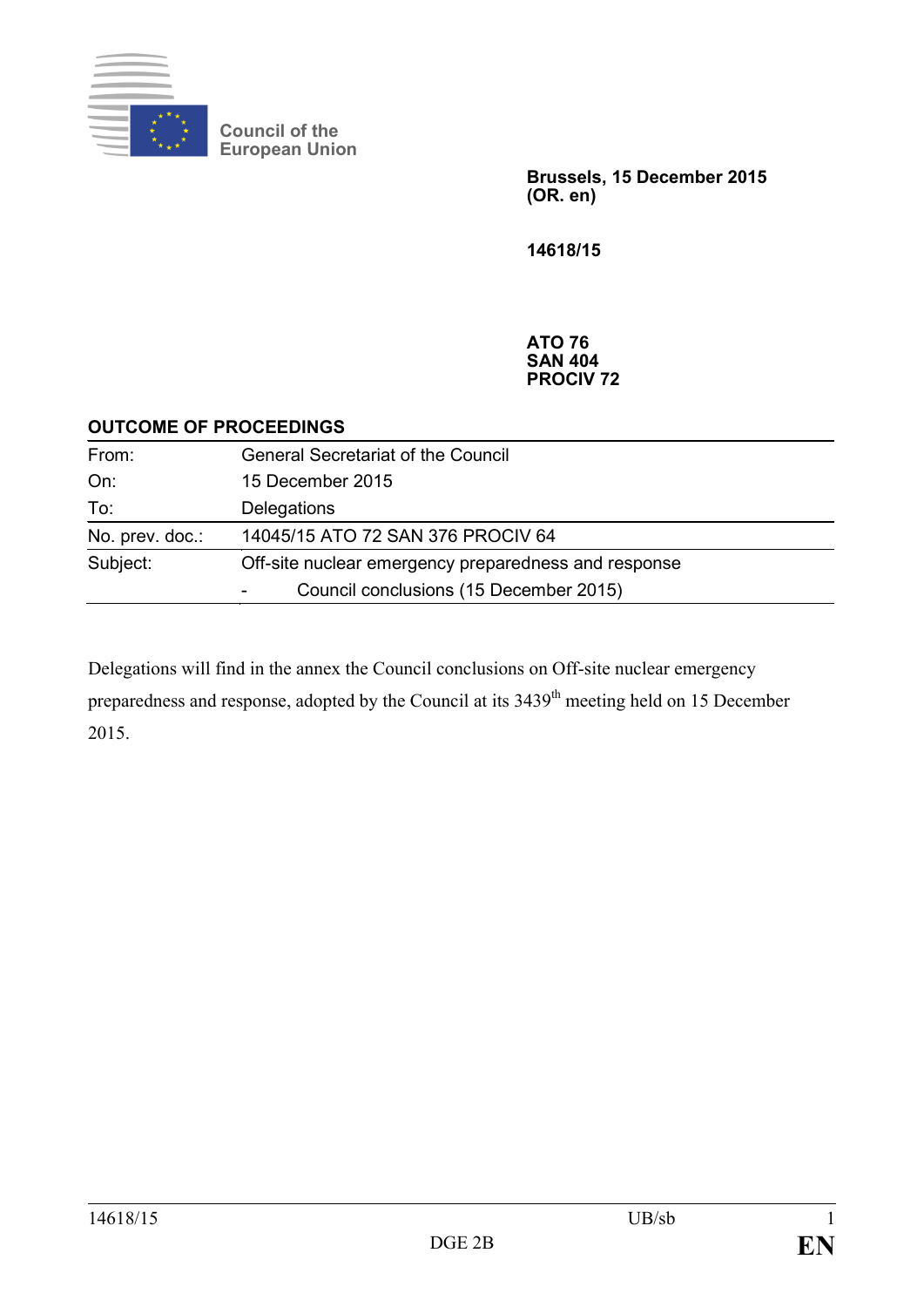

**Council of the European Union**

> **Brussels, 15 December 2015 (OR. en)**

**14618/15**

**ATO 76 SAN 404 PROCIV 72**

## **OUTCOME OF PROCEEDINGS**

| From:           | <b>General Secretariat of the Council</b>            |
|-----------------|------------------------------------------------------|
| On:             | 15 December 2015                                     |
| To:             | Delegations                                          |
| No. prev. doc.: | 14045/15 ATO 72 SAN 376 PROCIV 64                    |
| Subject:        | Off-site nuclear emergency preparedness and response |
|                 | Council conclusions (15 December 2015)               |

Delegations will find in the annex the Council conclusions on Off-site nuclear emergency preparedness and response, adopted by the Council at its 3439<sup>th</sup> meeting held on 15 December 2015.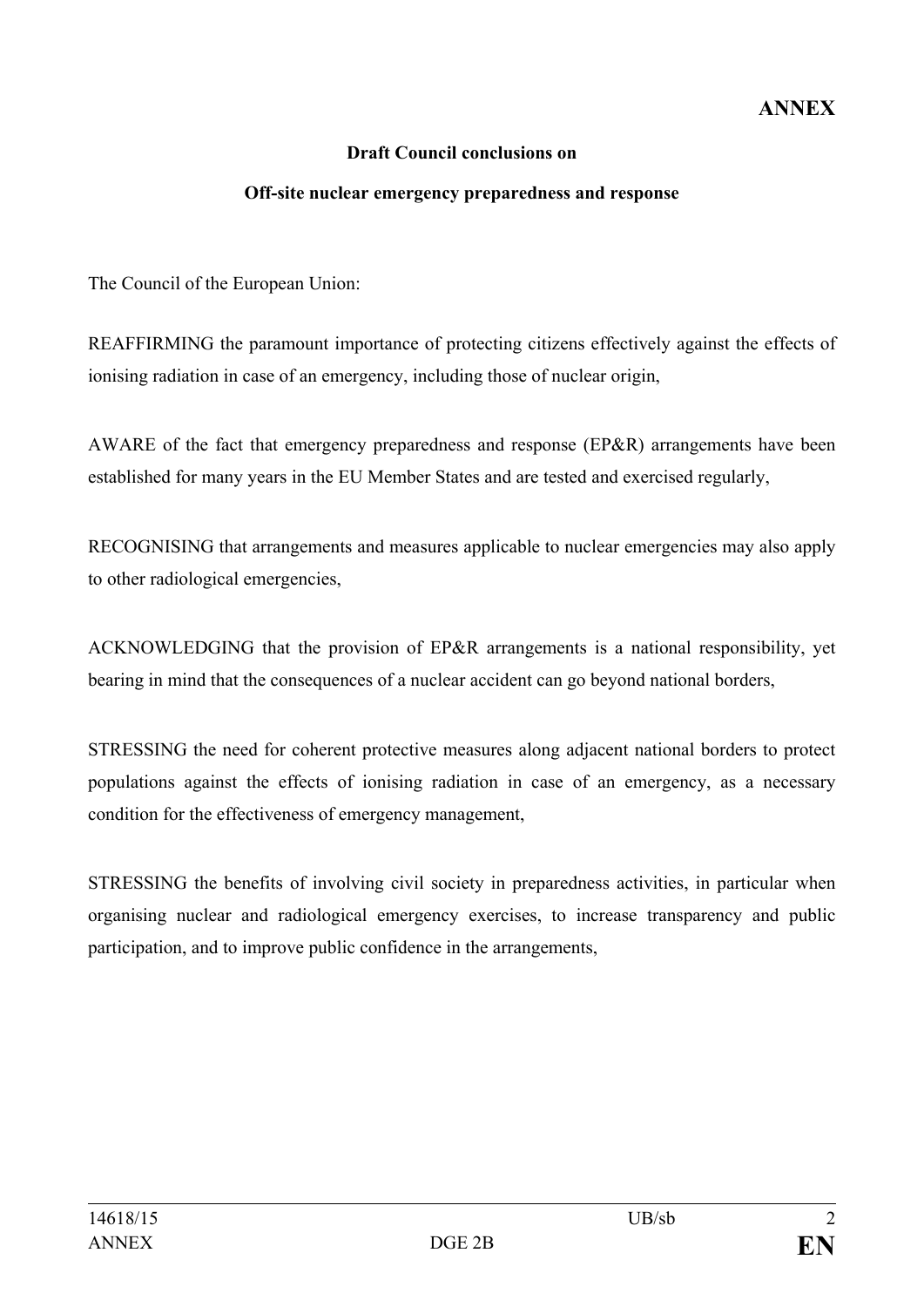## **ANNEX**

## **Draft Council conclusions on**

## **Off-site nuclear emergency preparedness and response**

The Council of the European Union:

REAFFIRMING the paramount importance of protecting citizens effectively against the effects of ionising radiation in case of an emergency, including those of nuclear origin,

AWARE of the fact that emergency preparedness and response (EP&R) arrangements have been established for many years in the EU Member States and are tested and exercised regularly,

RECOGNISING that arrangements and measures applicable to nuclear emergencies may also apply to other radiological emergencies,

ACKNOWLEDGING that the provision of EP&R arrangements is a national responsibility, yet bearing in mind that the consequences of a nuclear accident can go beyond national borders,

STRESSING the need for coherent protective measures along adjacent national borders to protect populations against the effects of ionising radiation in case of an emergency, as a necessary condition for the effectiveness of emergency management,

STRESSING the benefits of involving civil society in preparedness activities, in particular when organising nuclear and radiological emergency exercises, to increase transparency and public participation, and to improve public confidence in the arrangements,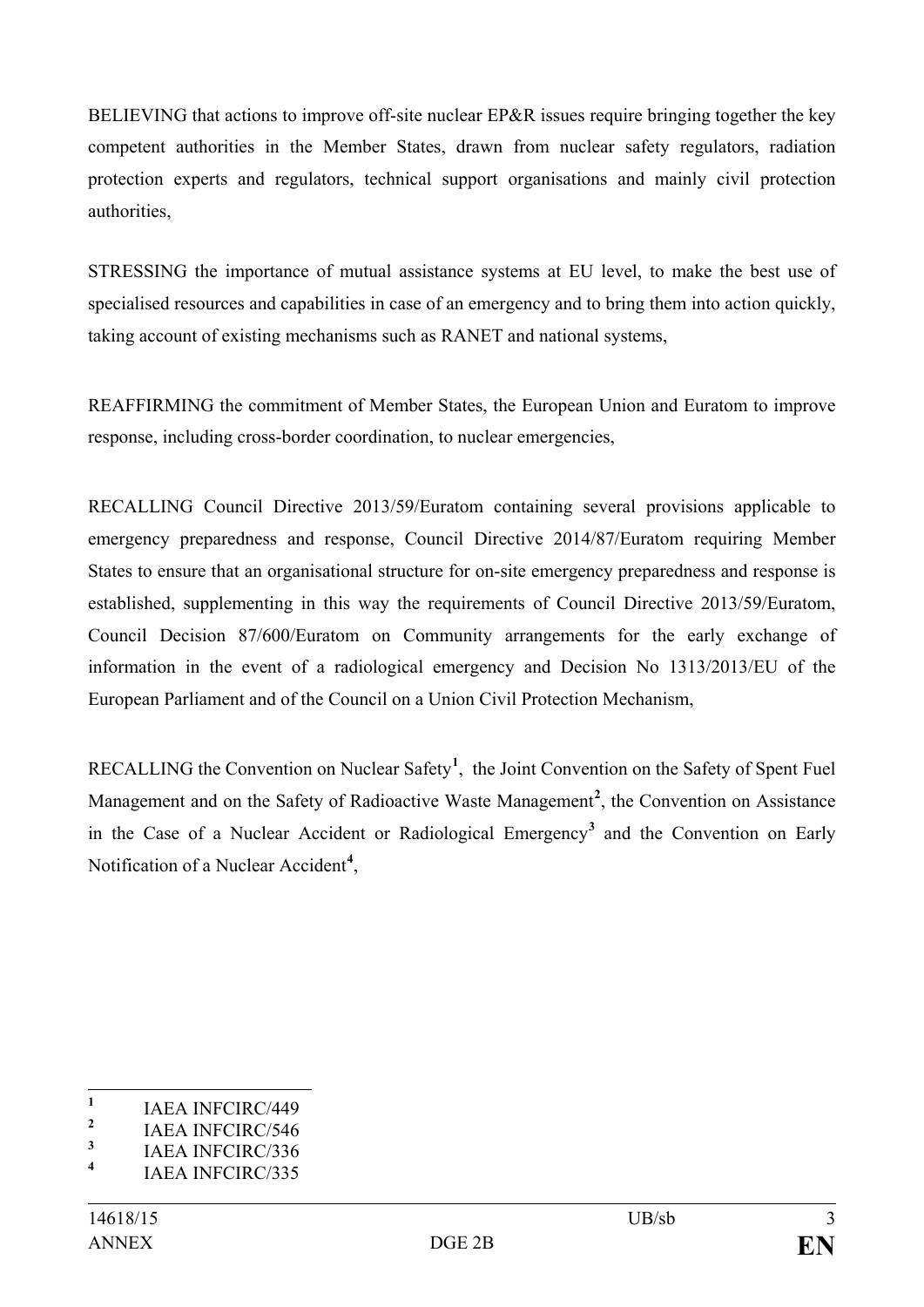BELIEVING that actions to improve off-site nuclear EP&R issues require bringing together the key competent authorities in the Member States, drawn from nuclear safety regulators, radiation protection experts and regulators, technical support organisations and mainly civil protection authorities,

STRESSING the importance of mutual assistance systems at EU level, to make the best use of specialised resources and capabilities in case of an emergency and to bring them into action quickly, taking account of existing mechanisms such as RANET and national systems,

REAFFIRMING the commitment of Member States, the European Union and Euratom to improve response, including cross-border coordination, to nuclear emergencies,

RECALLING Council Directive 2013/59/Euratom containing several provisions applicable to emergency preparedness and response, Council Directive 2014/87/Euratom requiring Member States to ensure that an organisational structure for on-site emergency preparedness and response is established, supplementing in this way the requirements of Council Directive 2013/59/Euratom, Council Decision 87/600/Euratom on Community arrangements for the early exchange of information in the event of a radiological emergency and Decision No 1313/2013/EU of the European Parliament and of the Council on a Union Civil Protection Mechanism,

RECALLING the Convention on Nuclear Safety**[1](#page-2-0)** , the Joint Convention on the Safety of Spent Fuel Management and on the Safety of Radioactive Waste Management**[2](#page-2-1)** , the Convention on Assistance in the Case of a Nuclear Accident or Radiological Emergency**[3](#page-2-2)** and the Convention on Early Notification of a Nuclear Accident**[4](#page-2-3)** ,

<span id="page-2-0"></span> $\frac{1}{2}$  IAEA INFCIRC/449

<span id="page-2-1"></span><sup>&</sup>lt;sup>2</sup> IAEA INFCIRC/546

<span id="page-2-2"></span> $\frac{3}{4}$  IAEA INFCIRC/336

<span id="page-2-3"></span>**<sup>4</sup>** IAEA INFCIRC/335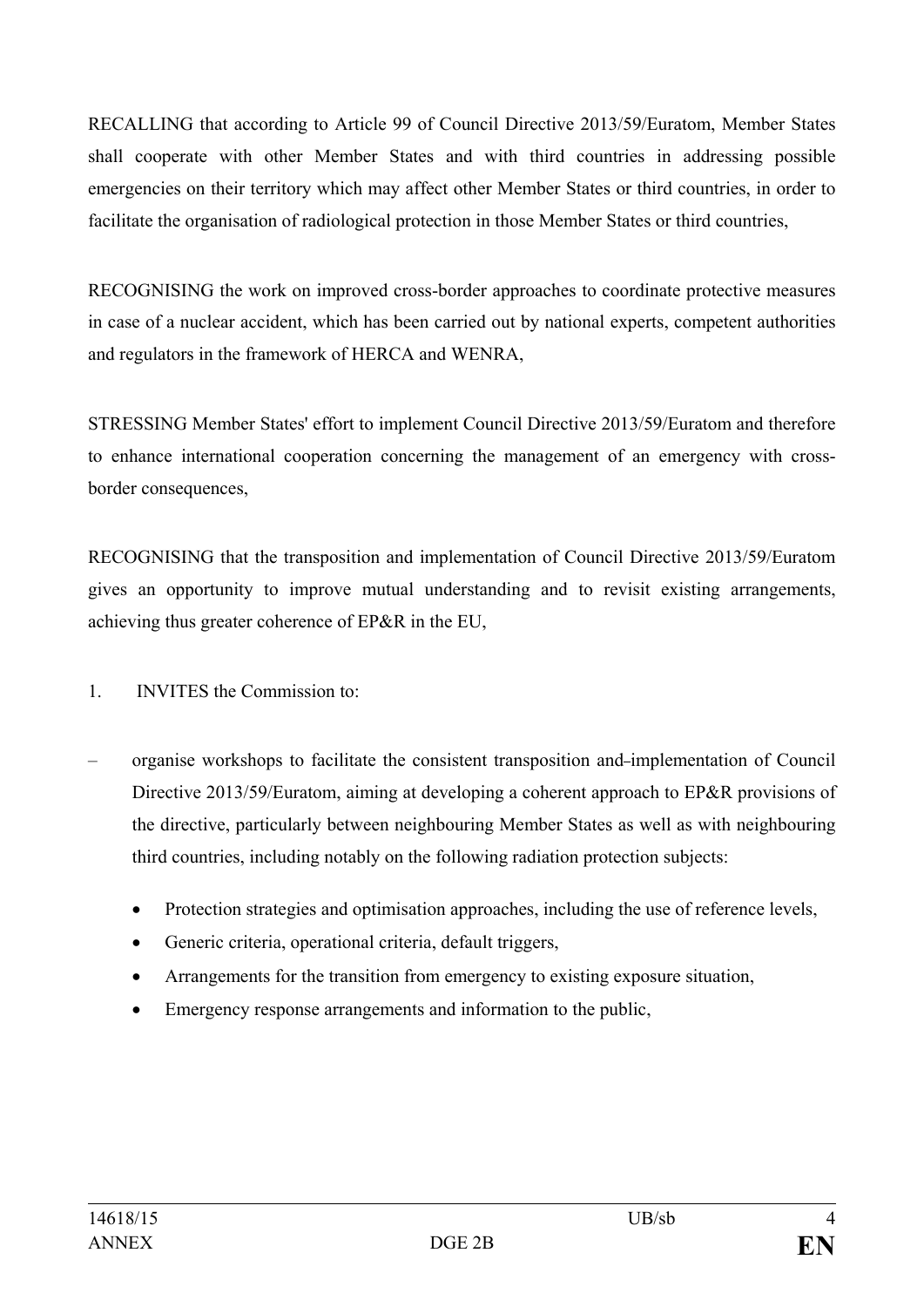RECALLING that according to Article 99 of Council Directive 2013/59/Euratom, Member States shall cooperate with other Member States and with third countries in addressing possible emergencies on their territory which may affect other Member States or third countries, in order to facilitate the organisation of radiological protection in those Member States or third countries,

RECOGNISING the work on improved cross-border approaches to coordinate protective measures in case of a nuclear accident, which has been carried out by national experts, competent authorities and regulators in the framework of HERCA and WENRA,

STRESSING Member States' effort to implement Council Directive 2013/59/Euratom and therefore to enhance international cooperation concerning the management of an emergency with crossborder consequences,

RECOGNISING that the transposition and implementation of Council Directive 2013/59/Euratom gives an opportunity to improve mutual understanding and to revisit existing arrangements, achieving thus greater coherence of EP&R in the EU,

1. INVITES the Commission to:

- organise workshops to facilitate the consistent transposition and implementation of Council Directive 2013/59/Euratom, aiming at developing a coherent approach to EP&R provisions of the directive, particularly between neighbouring Member States as well as with neighbouring third countries, including notably on the following radiation protection subjects:
	- Protection strategies and optimisation approaches, including the use of reference levels,
	- Generic criteria, operational criteria, default triggers,
	- Arrangements for the transition from emergency to existing exposure situation,
	- Emergency response arrangements and information to the public,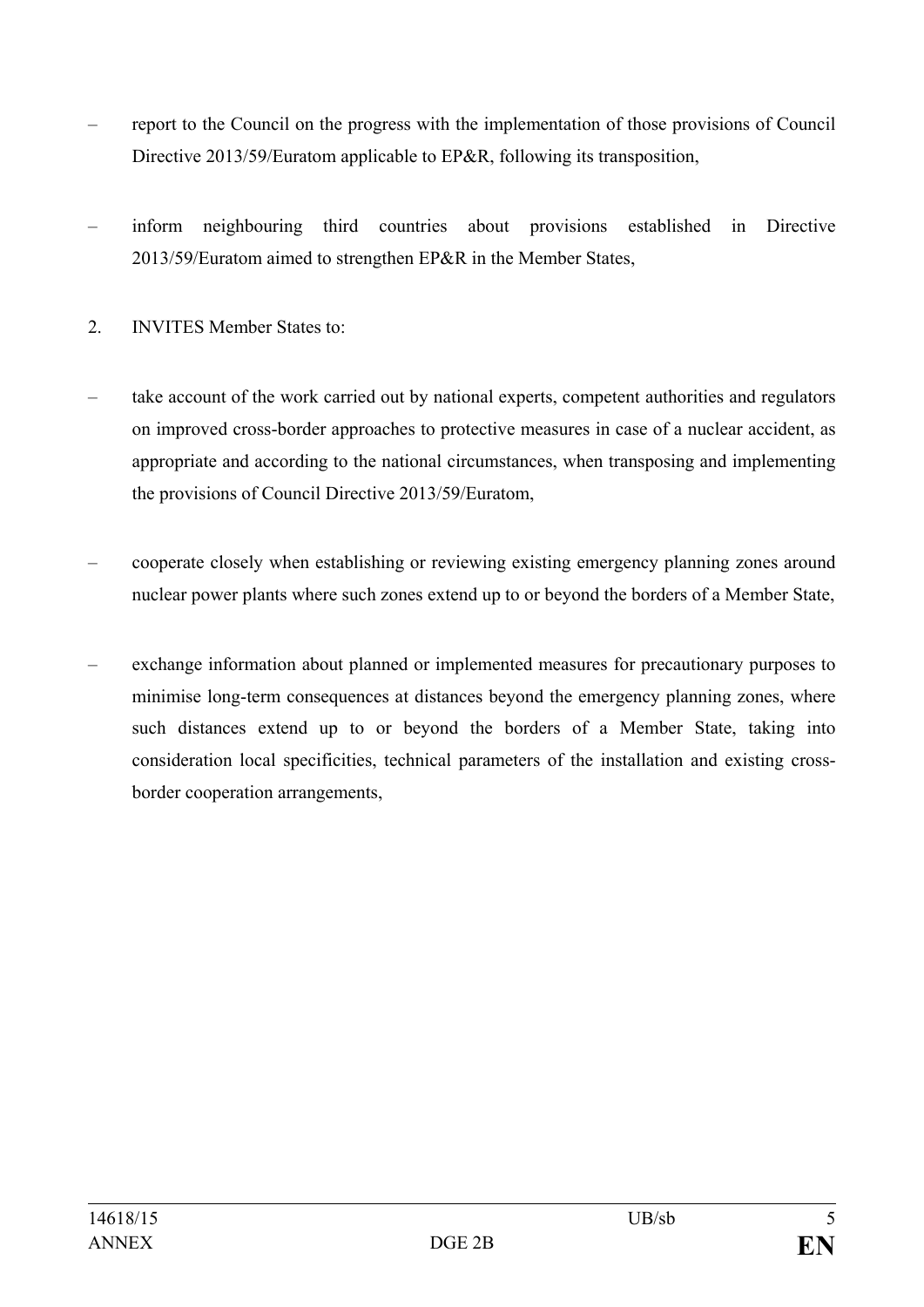- report to the Council on the progress with the implementation of those provisions of Council Directive 2013/59/Euratom applicable to EP&R, following its transposition,
- inform neighbouring third countries about provisions established in Directive 2013/59/Euratom aimed to strengthen EP&R in the Member States,
- 2. INVITES Member States to:
- take account of the work carried out by national experts, competent authorities and regulators on improved cross-border approaches to protective measures in case of a nuclear accident, as appropriate and according to the national circumstances, when transposing and implementing the provisions of Council Directive 2013/59/Euratom,
- cooperate closely when establishing or reviewing existing emergency planning zones around nuclear power plants where such zones extend up to or beyond the borders of a Member State,
- exchange information about planned or implemented measures for precautionary purposes to minimise long-term consequences at distances beyond the emergency planning zones, where such distances extend up to or beyond the borders of a Member State, taking into consideration local specificities, technical parameters of the installation and existing crossborder cooperation arrangements,